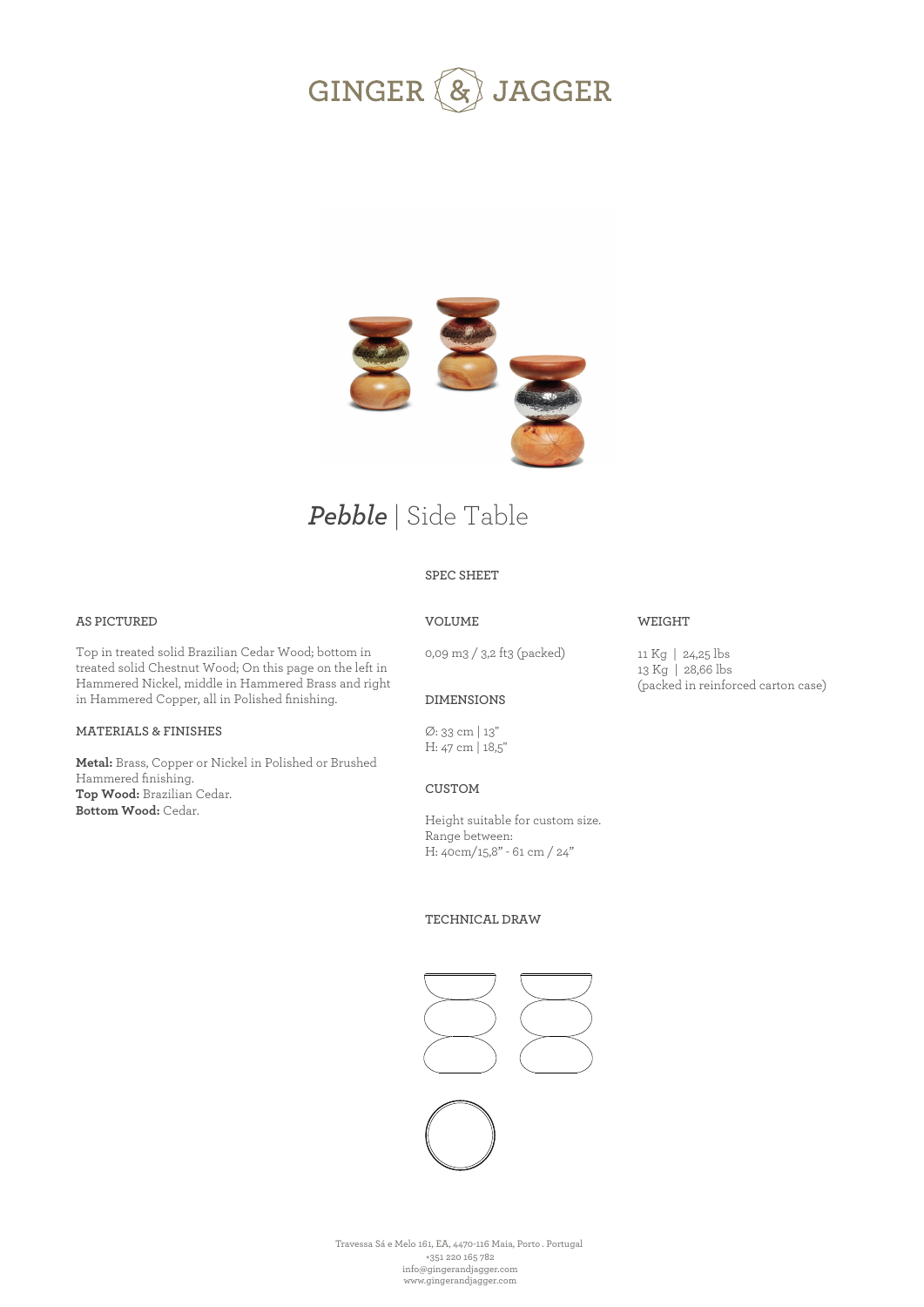



# *Pebble* | Side Table

## **SPEC SHEET**

#### **AS PICTURED**

Top in treated solid Brazilian Cedar Wood; bottom in treated solid Chestnut Wood; On this page on the left in Hammered Nickel, middle in Hammered Brass and right in Hammered Copper, all in Polished finishing.

#### **MATERIALS & FINISHES**

**Metal:** Brass, Copper or Nickel in Polished or Brushed Hammered finishing. **Top Wood:** Brazilian Cedar. **Bottom Wood:** Cedar.

## **VOLUME**

0,09 m3 / 3,2 ft3 (packed)

11 Kg | 24,25 lbs 13 Kg | 28,66 lbs (packed in reinforced carton case)

**WEIGHT** 

#### **DIMENSIONS**

Ø: 33 cm | 13'' H: 47 cm | 18,5''

#### **CUSTOM**

Height suitable for custom size. Range between: H: 40cm/15,8" - 61 cm / 24"

#### **TECHNICAL DRAW**